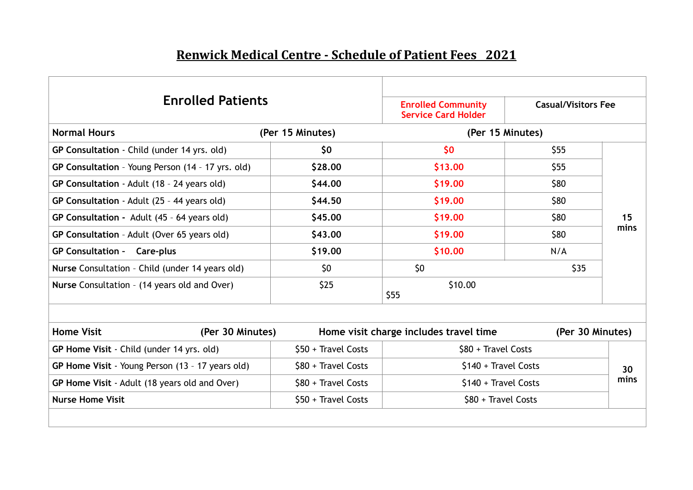## **Renwick Medical Centre - Schedule of Patient Fees 2021**

| <b>Normal Hours</b><br>(Per 15 Minutes)<br>(Per 15 Minutes)<br>50<br>GP Consultation - Child (under 14 yrs. old)<br>\$0<br>\$55<br>GP Consultation - Young Person (14 - 17 yrs. old)<br>\$28.00<br>\$55<br>\$13.00<br>\$44.00<br>GP Consultation - Adult (18 - 24 years old)<br>\$19.00<br>\$80<br>\$44.50<br>\$19.00<br>\$80<br>GP Consultation - Adult (25 - 44 years old)<br>\$80<br>\$45.00<br>\$19.00<br>GP Consultation - Adult (45 - 64 years old)<br>\$80<br>\$43.00<br>\$19.00<br>GP Consultation - Adult (Over 65 years old)<br>\$19.00<br>\$10.00<br>N/A<br><b>GP Consultation - Care-plus</b><br>Nurse Consultation - Child (under 14 years old)<br>\$0<br>50 <sub>2</sub><br>\$35<br>\$25<br>\$10.00<br>Nurse Consultation - (14 years old and Over)<br>\$55<br><b>Home Visit</b><br>(Per 30 Minutes)<br>(Per 30 Minutes)<br>Home visit charge includes travel time<br>GP Home Visit - Child (under 14 yrs. old)<br>$$50 + Travel Costs$<br>$$80 + Travel Costs$<br>GP Home Visit - Young Person (13 - 17 years old)<br>$$80 + Travel Costs$<br>$$140 + Travel Costs$<br>GP Home Visit - Adult (18 years old and Over)<br>$$80 + Travel Costs$<br>$$140 + Travel Costs$ | <b>Enrolled Patients</b> |                     | <b>Enrolled Community</b><br><b>Casual/Visitors Fee</b><br><b>Service Card Holder</b> |  |      |
|--------------------------------------------------------------------------------------------------------------------------------------------------------------------------------------------------------------------------------------------------------------------------------------------------------------------------------------------------------------------------------------------------------------------------------------------------------------------------------------------------------------------------------------------------------------------------------------------------------------------------------------------------------------------------------------------------------------------------------------------------------------------------------------------------------------------------------------------------------------------------------------------------------------------------------------------------------------------------------------------------------------------------------------------------------------------------------------------------------------------------------------------------------------------------------------|--------------------------|---------------------|---------------------------------------------------------------------------------------|--|------|
|                                                                                                                                                                                                                                                                                                                                                                                                                                                                                                                                                                                                                                                                                                                                                                                                                                                                                                                                                                                                                                                                                                                                                                                      |                          |                     |                                                                                       |  |      |
|                                                                                                                                                                                                                                                                                                                                                                                                                                                                                                                                                                                                                                                                                                                                                                                                                                                                                                                                                                                                                                                                                                                                                                                      |                          |                     |                                                                                       |  |      |
|                                                                                                                                                                                                                                                                                                                                                                                                                                                                                                                                                                                                                                                                                                                                                                                                                                                                                                                                                                                                                                                                                                                                                                                      |                          |                     |                                                                                       |  |      |
|                                                                                                                                                                                                                                                                                                                                                                                                                                                                                                                                                                                                                                                                                                                                                                                                                                                                                                                                                                                                                                                                                                                                                                                      |                          |                     |                                                                                       |  |      |
|                                                                                                                                                                                                                                                                                                                                                                                                                                                                                                                                                                                                                                                                                                                                                                                                                                                                                                                                                                                                                                                                                                                                                                                      |                          |                     |                                                                                       |  |      |
|                                                                                                                                                                                                                                                                                                                                                                                                                                                                                                                                                                                                                                                                                                                                                                                                                                                                                                                                                                                                                                                                                                                                                                                      |                          |                     |                                                                                       |  | 15   |
|                                                                                                                                                                                                                                                                                                                                                                                                                                                                                                                                                                                                                                                                                                                                                                                                                                                                                                                                                                                                                                                                                                                                                                                      |                          |                     |                                                                                       |  | mins |
|                                                                                                                                                                                                                                                                                                                                                                                                                                                                                                                                                                                                                                                                                                                                                                                                                                                                                                                                                                                                                                                                                                                                                                                      |                          |                     |                                                                                       |  |      |
|                                                                                                                                                                                                                                                                                                                                                                                                                                                                                                                                                                                                                                                                                                                                                                                                                                                                                                                                                                                                                                                                                                                                                                                      |                          |                     |                                                                                       |  |      |
|                                                                                                                                                                                                                                                                                                                                                                                                                                                                                                                                                                                                                                                                                                                                                                                                                                                                                                                                                                                                                                                                                                                                                                                      |                          |                     |                                                                                       |  |      |
|                                                                                                                                                                                                                                                                                                                                                                                                                                                                                                                                                                                                                                                                                                                                                                                                                                                                                                                                                                                                                                                                                                                                                                                      |                          |                     |                                                                                       |  |      |
|                                                                                                                                                                                                                                                                                                                                                                                                                                                                                                                                                                                                                                                                                                                                                                                                                                                                                                                                                                                                                                                                                                                                                                                      |                          |                     |                                                                                       |  |      |
|                                                                                                                                                                                                                                                                                                                                                                                                                                                                                                                                                                                                                                                                                                                                                                                                                                                                                                                                                                                                                                                                                                                                                                                      |                          |                     |                                                                                       |  |      |
|                                                                                                                                                                                                                                                                                                                                                                                                                                                                                                                                                                                                                                                                                                                                                                                                                                                                                                                                                                                                                                                                                                                                                                                      |                          |                     |                                                                                       |  | 30   |
|                                                                                                                                                                                                                                                                                                                                                                                                                                                                                                                                                                                                                                                                                                                                                                                                                                                                                                                                                                                                                                                                                                                                                                                      |                          |                     |                                                                                       |  | mins |
| \$80 + Travel Costs                                                                                                                                                                                                                                                                                                                                                                                                                                                                                                                                                                                                                                                                                                                                                                                                                                                                                                                                                                                                                                                                                                                                                                  | <b>Nurse Home Visit</b>  | \$50 + Travel Costs |                                                                                       |  |      |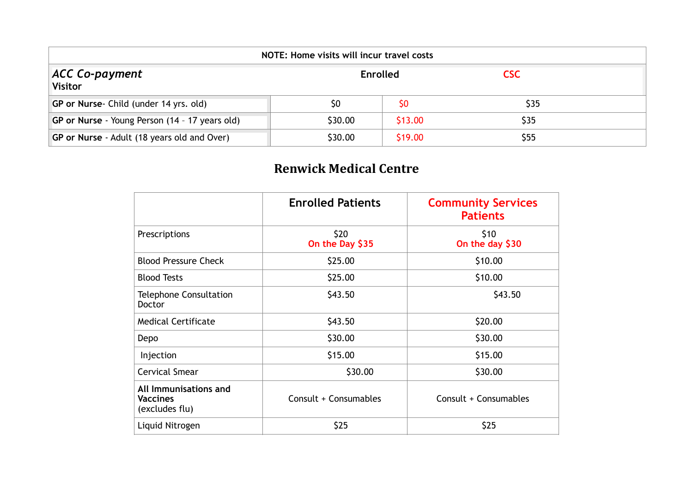| NOTE: Home visits will incur travel costs                           |         |         |      |  |  |
|---------------------------------------------------------------------|---------|---------|------|--|--|
| $ACC$ Co-payment<br><b>Enrolled</b><br><b>CSC</b><br><b>Visitor</b> |         |         |      |  |  |
| GP or Nurse- Child (under 14 yrs. old)                              | \$0     | \$0     | \$35 |  |  |
| GP or Nurse - Young Person (14 - 17 years old)                      | \$30.00 | \$13.00 | \$35 |  |  |
| GP or Nurse - Adult (18 years old and Over)                         | \$30.00 | \$19.00 | \$55 |  |  |

## **Renwick Medical Centre**

|                                                            | <b>Enrolled Patients</b> | <b>Community Services</b><br><b>Patients</b> |
|------------------------------------------------------------|--------------------------|----------------------------------------------|
| Prescriptions                                              | \$20<br>On the Day \$35  | \$10<br>On the day \$30                      |
| <b>Blood Pressure Check</b>                                | \$25.00                  | \$10.00                                      |
| <b>Blood Tests</b>                                         | \$25.00                  | \$10.00                                      |
| <b>Telephone Consultation</b><br><b>Doctor</b>             | \$43.50                  | \$43.50                                      |
| <b>Medical Certificate</b>                                 | \$43.50                  | \$20.00                                      |
| Depo                                                       | \$30.00                  | \$30.00                                      |
| Injection                                                  | \$15.00                  | \$15.00                                      |
| <b>Cervical Smear</b>                                      | \$30.00                  | \$30.00                                      |
| All Immunisations and<br><b>Vaccines</b><br>(excludes flu) | Consult + Consumables    | Consult + Consumables                        |
| Liquid Nitrogen                                            | \$25                     | \$25                                         |